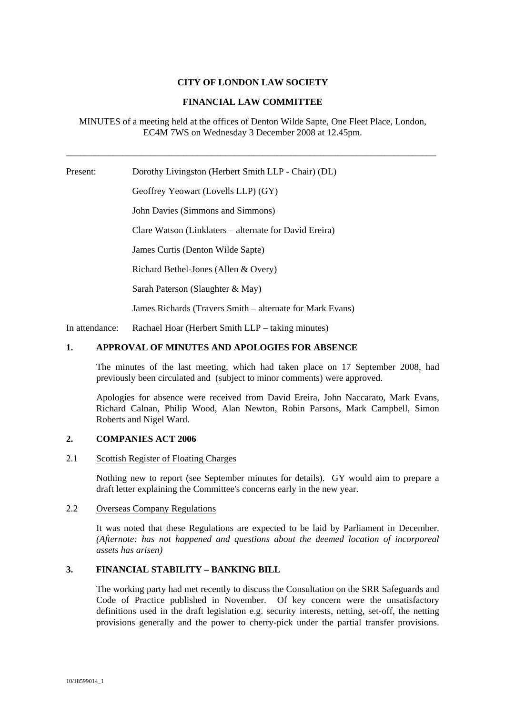# **CITY OF LONDON LAW SOCIETY**

# **FINANCIAL LAW COMMITTEE**

MINUTES of a meeting held at the offices of Denton Wilde Sapte, One Fleet Place, London, EC4M 7WS on Wednesday 3 December 2008 at 12.45pm.

\_\_\_\_\_\_\_\_\_\_\_\_\_\_\_\_\_\_\_\_\_\_\_\_\_\_\_\_\_\_\_\_\_\_\_\_\_\_\_\_\_\_\_\_\_\_\_\_\_\_\_\_\_\_\_\_\_\_\_\_\_\_\_\_\_\_\_\_\_\_\_\_\_\_\_\_\_\_\_

Present: Dorothy Livingston (Herbert Smith LLP - Chair) (DL) Geoffrey Yeowart (Lovells LLP) (GY) John Davies (Simmons and Simmons) Clare Watson (Linklaters – alternate for David Ereira) James Curtis (Denton Wilde Sapte) Richard Bethel-Jones (Allen & Overy)

Sarah Paterson (Slaughter & May)

James Richards (Travers Smith – alternate for Mark Evans)

In attendance: Rachael Hoar (Herbert Smith LLP – taking minutes)

### **1. APPROVAL OF MINUTES AND APOLOGIES FOR ABSENCE**

The minutes of the last meeting, which had taken place on 17 September 2008, had previously been circulated and (subject to minor comments) were approved.

Apologies for absence were received from David Ereira, John Naccarato, Mark Evans, Richard Calnan, Philip Wood, Alan Newton, Robin Parsons, Mark Campbell, Simon Roberts and Nigel Ward.

#### **2. COMPANIES ACT 2006**

#### 2.1 Scottish Register of Floating Charges

Nothing new to report (see September minutes for details). GY would aim to prepare a draft letter explaining the Committee's concerns early in the new year.

### 2.2 Overseas Company Regulations

It was noted that these Regulations are expected to be laid by Parliament in December. *(Afternote: has not happened and questions about the deemed location of incorporeal assets has arisen)* 

### **3. FINANCIAL STABILITY – BANKING BILL**

The working party had met recently to discuss the Consultation on the SRR Safeguards and Code of Practice published in November. Of key concern were the unsatisfactory definitions used in the draft legislation e.g. security interests, netting, set-off, the netting provisions generally and the power to cherry-pick under the partial transfer provisions.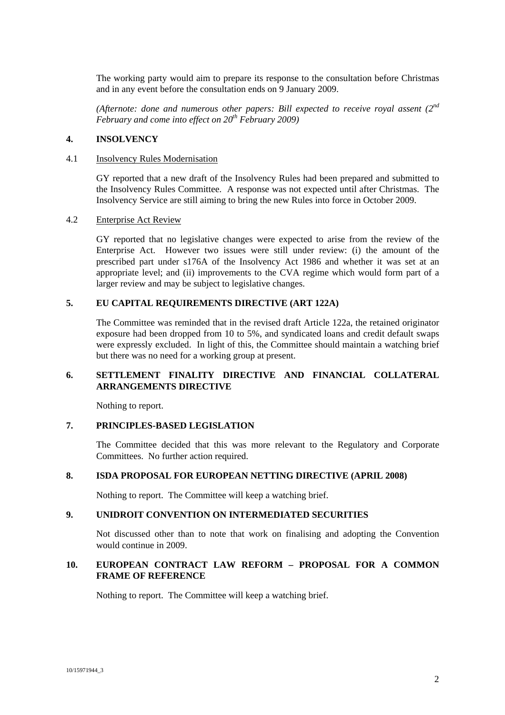The working party would aim to prepare its response to the consultation before Christmas and in any event before the consultation ends on 9 January 2009.

*(Afternote: done and numerous other papers: Bill expected to receive royal assent (2nd February and come into effect on 20th February 2009)* 

#### **4. INSOLVENCY**

#### 4.1 Insolvency Rules Modernisation

GY reported that a new draft of the Insolvency Rules had been prepared and submitted to the Insolvency Rules Committee. A response was not expected until after Christmas. The Insolvency Service are still aiming to bring the new Rules into force in October 2009.

#### 4.2 Enterprise Act Review

GY reported that no legislative changes were expected to arise from the review of the Enterprise Act. However two issues were still under review: (i) the amount of the prescribed part under s176A of the Insolvency Act 1986 and whether it was set at an appropriate level; and (ii) improvements to the CVA regime which would form part of a larger review and may be subject to legislative changes.

### **5. EU CAPITAL REQUIREMENTS DIRECTIVE (ART 122A)**

The Committee was reminded that in the revised draft Article 122a, the retained originator exposure had been dropped from 10 to 5%, and syndicated loans and credit default swaps were expressly excluded. In light of this, the Committee should maintain a watching brief but there was no need for a working group at present.

# **6. SETTLEMENT FINALITY DIRECTIVE AND FINANCIAL COLLATERAL ARRANGEMENTS DIRECTIVE**

Nothing to report.

## **7. PRINCIPLES-BASED LEGISLATION**

The Committee decided that this was more relevant to the Regulatory and Corporate Committees. No further action required.

### **8. ISDA PROPOSAL FOR EUROPEAN NETTING DIRECTIVE (APRIL 2008)**

Nothing to report. The Committee will keep a watching brief.

#### **9. UNIDROIT CONVENTION ON INTERMEDIATED SECURITIES**

Not discussed other than to note that work on finalising and adopting the Convention would continue in 2009.

# **10. EUROPEAN CONTRACT LAW REFORM – PROPOSAL FOR A COMMON FRAME OF REFERENCE**

Nothing to report. The Committee will keep a watching brief.